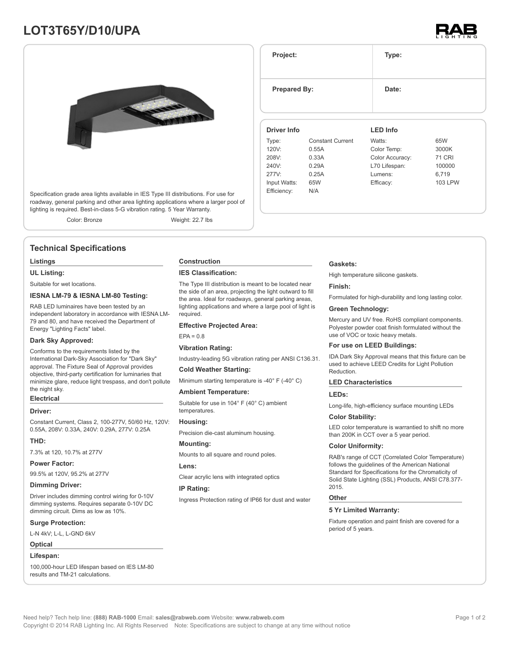# **LOT3T65Y/D10/UPA**





Specification grade area lights available in IES Type III distributions. For use for roadway, general parking and other area lighting applications where a larger pool of lighting is required. Best-in-class 5-G vibration rating. 5 Year Warranty.

Color: Bronze Weight: 22.7 lbs

# **Technical Specifications**

## **Listings**

**UL Listing:**

Suitable for wet locations.

## **IESNA LM-79 & IESNA LM-80 Testing:**

RAB LED luminaires have been tested by an independent laboratory in accordance with IESNA LM-79 and 80, and have received the Department of Energy "Lighting Facts" label.

#### **Dark Sky Approved:**

Conforms to the requirements listed by the International Dark-Sky Association for "Dark Sky" approval. The Fixture Seal of Approval provides objective, third-party certification for luminaries that minimize glare, reduce light trespass, and don't pollute the night sky.

# **Electrical**

## **Driver:**

Constant Current, Class 2, 100-277V, 50/60 Hz, 120V: 0.55A, 208V: 0.33A, 240V: 0.29A, 277V: 0.25A

## **THD:**

7.3% at 120, 10.7% at 277V

#### **Power Factor:**

99.5% at 120V, 95.2% at 277V

#### **Dimming Driver:**

Driver includes dimming control wiring for 0-10V dimming systems. Requires separate 0-10V DC dimming circuit. Dims as low as 10%.

#### **Surge Protection:**

L-N 4kV; L-L, L-GND 6kV

# **Optical**

# **Lifespan:**

100,000-hour LED lifespan based on IES LM-80 results and TM-21 calculations.

#### **Construction**

#### **IES Classification:**

The Type III distribution is meant to be located near the side of an area, projecting the light outward to fill the area. Ideal for roadways, general parking areas, lighting applications and where a large pool of light is required.

#### **Effective Projected Area:**

 $EPA = 0.8$ 

### **Vibration Rating:**

Industry-leading 5G vibration rating per ANSI C136.31.

## **Cold Weather Starting:**

Minimum starting temperature is -40° F (-40° C)

#### **Ambient Temperature:**

Suitable for use in 104° F (40° C) ambient temperatures.

## **Housing:**

Precision die-cast aluminum housing.

## **Mounting:**

Mounts to all square and round poles.

#### **Lens:**

Clear acrylic lens with integrated optics

#### **IP Rating:**

Ingress Protection rating of IP66 for dust and water

#### **Gaskets:**

**Project: Type:**

**Prepared By:** Date:

**Driver Info**

120V: 0.55A 208V: 0.33A 240V: 0.29A 277V: 0.25A Input Watts: 65W Efficiency: N/A

Type: Constant Current

High temperature silicone gaskets.

**LED Info**

Watts: 65W Color Temp: 3000K Color Accuracy: 71 CRI L70 Lifespan: 100000 Lumens: 6,719 Efficacy: 103 LPW

#### **Finish:**

Formulated for high-durability and long lasting color.

#### **Green Technology:**

Mercury and UV free. RoHS compliant components. Polyester powder coat finish formulated without the use of VOC or toxic heavy metals.

#### **For use on LEED Buildings:**

IDA Dark Sky Approval means that this fixture can be used to achieve LEED Credits for Light Pollution Reduction.

## **LED Characteristics**

#### **LEDs:**

Long-life, high-efficiency surface mounting LEDs

#### **Color Stability:**

LED color temperature is warrantied to shift no more than 200K in CCT over a 5 year period.

#### **Color Uniformity:**

RAB's range of CCT (Correlated Color Temperature) follows the guidelines of the American National Standard for Specifications for the Chromaticity of Solid State Lighting (SSL) Products, ANSI C78.377- 2015.

#### **Other**

#### **5 Yr Limited Warranty:**

Fixture operation and paint finish are covered for a period of 5 years.